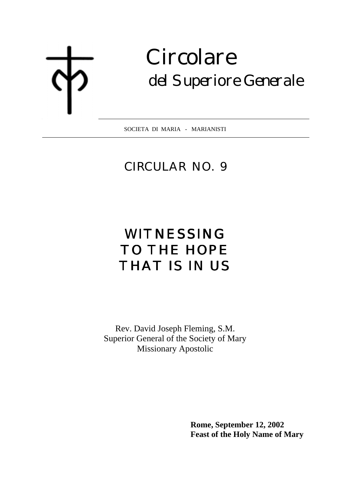# **Circolare** del Superiore Generale

SOCIETA DI MARIA - MARIANISTI  $\overline{a}$ 

### CIRCULAR NO. 9

## WITNESSING TO THE HOPE THAT IS IN US

Rev. David Joseph Fleming, S.M. Superior General of the Society of Mary Missionary Apostolic

> **Rome, September 12, 2002 Feast of the Holy Name of Mary**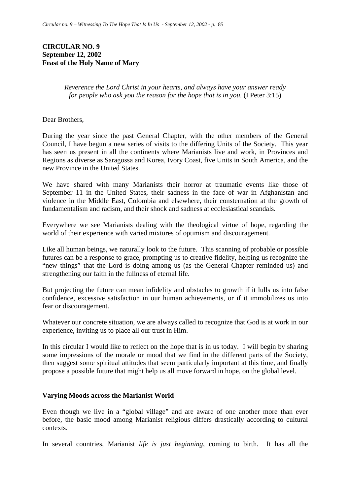#### **CIRCULAR NO. 9 September 12, 2002 Feast of the Holy Name of Mary**

*Reverence the Lord Christ in your hearts, and always have your answer ready for people who ask you the reason for the hope that is in you.* (I Peter 3:15)

Dear Brothers,

During the year since the past General Chapter, with the other members of the General Council, I have begun a new series of visits to the differing Units of the Society. This year has seen us present in all the continents where Marianists live and work, in Provinces and Regions as diverse as Saragossa and Korea, Ivory Coast, five Units in South America, and the new Province in the United States.

We have shared with many Marianists their horror at traumatic events like those of September 11 in the United States, their sadness in the face of war in Afghanistan and violence in the Middle East, Colombia and elsewhere, their consternation at the growth of fundamentalism and racism, and their shock and sadness at ecclesiastical scandals.

Everywhere we see Marianists dealing with the theological virtue of hope, regarding the world of their experience with varied mixtures of optimism and discouragement.

Like all human beings, we naturally look to the future. This scanning of probable or possible futures can be a response to grace, prompting us to creative fidelity, helping us recognize the "new things" that the Lord is doing among us (as the General Chapter reminded us) and strengthening our faith in the fullness of eternal life.

But projecting the future can mean infidelity and obstacles to growth if it lulls us into false confidence, excessive satisfaction in our human achievements, or if it immobilizes us into fear or discouragement.

Whatever our concrete situation, we are always called to recognize that God is at work in our experience, inviting us to place all our trust in Him.

In this circular I would like to reflect on the hope that is in us today. I will begin by sharing some impressions of the morale or mood that we find in the different parts of the Society, then suggest some spiritual attitudes that seem particularly important at this time, and finally propose a possible future that might help us all move forward in hope, on the global level.

#### **Varying Moods across the Marianist World**

Even though we live in a "global village" and are aware of one another more than ever before, the basic mood among Marianist religious differs drastically according to cultural contexts.

In several countries, Marianist *life is just beginning*, coming to birth. It has all the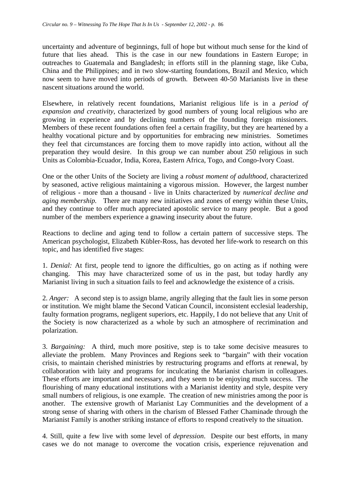uncertainty and adventure of beginnings, full of hope but without much sense for the kind of future that lies ahead. This is the case in our new foundations in Eastern Europe; in outreaches to Guatemala and Bangladesh; in efforts still in the planning stage, like Cuba, China and the Philippines; and in two slow-starting foundations, Brazil and Mexico, which now seem to have moved into periods of growth. Between 40-50 Marianists live in these nascent situations around the world.

Elsewhere, in relatively recent foundations, Marianist religious life is in a *period of expansion and creativity*, characterized by good numbers of young local religious who are growing in experience and by declining numbers of the founding foreign missioners. Members of these recent foundations often feel a certain fragility, but they are heartened by a healthy vocational picture and by opportunities for embracing new ministries. Sometimes they feel that circumstances are forcing them to move rapidly into action, without all the preparation they would desire. In this group we can number about 250 religious in such Units as Colombia-Ecuador, India, Korea, Eastern Africa, Togo, and Congo-Ivory Coast.

One or the other Units of the Society are living a *robust moment of adulthood*, characterized by seasoned, active religious maintaining a vigorous mission. However, the largest number of religious - more than a thousand - live in Units characterized by *numerical decline and aging membership.* There are many new initiatives and zones of energy within these Units, and they continue to offer much appreciated apostolic service to many people. But a good number of the members experience a gnawing insecurity about the future.

Reactions to decline and aging tend to follow a certain pattern of successive steps. The American psychologist, Elizabeth Kübler-Ross, has devoted her life-work to research on this topic, and has identified five stages:

1. *Denial:* At first, people tend to ignore the difficulties, go on acting as if nothing were changing. This may have characterized some of us in the past, but today hardly any Marianist living in such a situation fails to feel and acknowledge the existence of a crisis.

2. *Anger:* A second step is to assign blame, angrily alleging that the fault lies in some person or institution. We might blame the Second Vatican Council, inconsistent ecclesial leadership, faulty formation programs, negligent superiors, etc. Happily, I do not believe that any Unit of the Society is now characterized as a whole by such an atmosphere of recrimination and polarization.

3. *Bargaining:* A third, much more positive, step is to take some decisive measures to alleviate the problem. Many Provinces and Regions seek to "bargain" with their vocation crisis, to maintain cherished ministries by restructuring programs and efforts at renewal, by collaboration with laity and programs for inculcating the Marianist charism in colleagues. These efforts are important and necessary, and they seem to be enjoying much success. The flourishing of many educational institutions with a Marianist identity and style, despite very small numbers of religious, is one example. The creation of new ministries among the poor is another. The extensive growth of Marianist Lay Communities and the development of a strong sense of sharing with others in the charism of Blessed Father Chaminade through the Marianist Family is another striking instance of efforts to respond creatively to the situation.

4. Still, quite a few live with some level of *depression*. Despite our best efforts, in many cases we do not manage to overcome the vocation crisis, experience rejuvenation and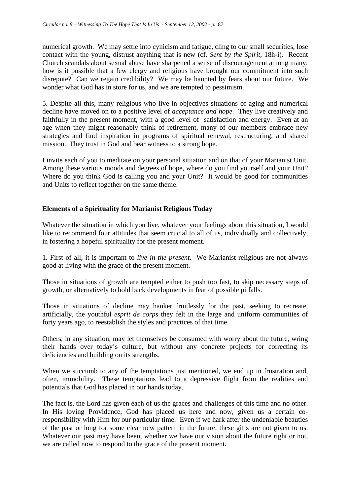numerical growth. We may settle into cynicism and fatigue, cling to our small securities, lose contact with the young, distrust anything that is new (cf. *Sent by the Spirit*, 18h-i). Recent Church scandals about sexual abuse have sharpened a sense of discouragement among many: how is it possible that a few clergy and religious have brought our commitment into such disrepute? Can we regain credibility? We may be haunted by fears about our future. We wonder what God has in store for us, and we are tempted to pessimism.

5. Despite all this, many religious who live in objectives situations of aging and numerical decline have moved on to a positive level of *acceptance and hope.* They live creatively and faithfully in the present moment, with a good level of satisfaction and energy. Even at an age when they might reasonably think of retirement, many of our members embrace new strategies and find inspiration in programs of spiritual renewal, restructuring, and shared mission. They trust in God and bear witness to a strong hope.

I invite each of you to meditate on your personal situation and on that of your Marianist Unit. Among these various moods and degrees of hope, where do you find yourself and your Unit? Where do you think God is calling you and your Unit? It would be good for communities and Units to reflect together on the same theme.

#### **Elements of a Spirituality for Marianist Religious Today**

Whatever the situation in which you live, whatever your feelings about this situation, I would like to recommend four attitudes that seem crucial to all of us, individually and collectively, in fostering a hopeful spirituality for the present moment.

1. First of all, it is important to *live in the present*. We Marianist religious are not always good at living with the grace of the present moment.

Those in situations of growth are tempted either to push too fast, to skip necessary steps of growth, or alternatively to hold back developments in fear of possible pitfalls.

Those in situations of decline may hanker fruitlessly for the past, seeking to recreate, artificially, the youthful *esprit de corps* they felt in the large and uniform communities of forty years ago, to reestablish the styles and practices of that time.

Others, in any situation, may let themselves be consumed with worry about the future, wring their hands over today's culture, but without any concrete projects for correcting its deficiencies and building on its strengths.

When we succumb to any of the temptations just mentioned, we end up in frustration and, often, immobility. These temptations lead to a depressive flight from the realities and potentials that God has placed in our hands today.

The fact is, the Lord has given each of us the graces and challenges of this time and no other. In His loving Providence, God has placed us here and now, given us a certain coresponsibility with Him for our particular time. Even if we hark after the undeniable beauties of the past or long for some clear new pattern in the future, these gifts are not given to us. Whatever our past may have been, whether we have our vision about the future right or not, we are called now to respond to the grace of the present moment.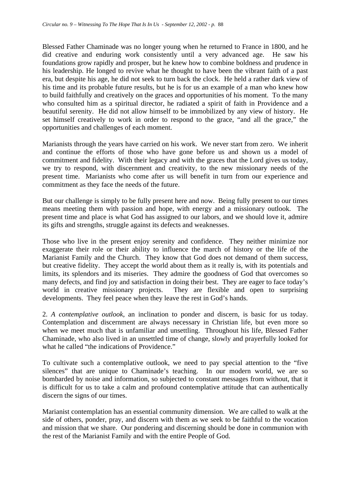Blessed Father Chaminade was no longer young when he returned to France in 1800, and he did creative and enduring work consistently until a very advanced age. He saw his foundations grow rapidly and prosper, but he knew how to combine boldness and prudence in his leadership. He longed to revive what he thought to have been the vibrant faith of a past era, but despite his age, he did not seek to turn back the clock. He held a rather dark view of his time and its probable future results, but he is for us an example of a man who knew how to build faithfully and creatively on the graces and opportunities of his moment. To the many who consulted him as a spiritual director, he radiated a spirit of faith in Providence and a beautiful serenity. He did not allow himself to be immobilized by any view of history. He set himself creatively to work in order to respond to the grace, "and all the grace," the opportunities and challenges of each moment.

Marianists through the years have carried on his work. We never start from zero. We inherit and continue the efforts of those who have gone before us and shown us a model of commitment and fidelity. With their legacy and with the graces that the Lord gives us today, we try to respond, with discernment and creativity, to the new missionary needs of the present time. Marianists who come after us will benefit in turn from our experience and commitment as they face the needs of the future.

But our challenge is simply to be fully present here and now. Being fully present to our times means meeting them with passion and hope, with energy and a missionary outlook. The present time and place is what God has assigned to our labors, and we should love it, admire its gifts and strengths, struggle against its defects and weaknesses.

Those who live in the present enjoy serenity and confidence. They neither minimize nor exaggerate their role or their ability to influence the march of history or the life of the Marianist Family and the Church. They know that God does not demand of them success, but creative fidelity. They accept the world about them as it really is, with its potentials and limits, its splendors and its miseries. They admire the goodness of God that overcomes so many defects, and find joy and satisfaction in doing their best. They are eager to face today's world in creative missionary projects. They are flexible and open to surprising developments. They feel peace when they leave the rest in God's hands.

2. *A contemplative outlook*, an inclination to ponder and discern, is basic for us today. Contemplation and discernment are always necessary in Christian life, but even more so when we meet much that is unfamiliar and unsettling. Throughout his life, Blessed Father Chaminade, who also lived in an unsettled time of change, slowly and prayerfully looked for what he called "the indications of Providence."

To cultivate such a contemplative outlook, we need to pay special attention to the "five silences" that are unique to Chaminade's teaching. In our modern world, we are so bombarded by noise and information, so subjected to constant messages from without, that it is difficult for us to take a calm and profound contemplative attitude that can authentically discern the signs of our times.

Marianist contemplation has an essential community dimension. We are called to walk at the side of others, ponder, pray, and discern with them as we seek to be faithful to the vocation and mission that we share. Our pondering and discerning should be done in communion with the rest of the Marianist Family and with the entire People of God.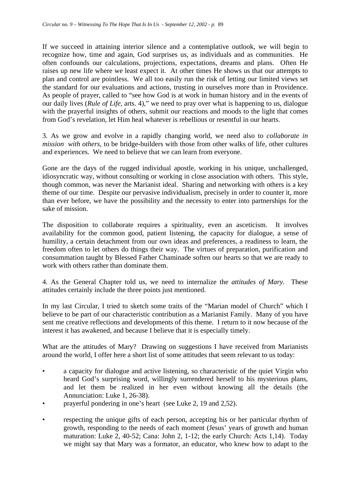If we succeed in attaining interior silence and a contemplative outlook, we will begin to recognize how, time and again, God surprises us, as individuals and as communities. He often confounds our calculations, projections, expectations, dreams and plans. Often He raises up new life where we least expect it. At other times He shows us that our attempts to plan and control are pointless. We all too easily run the risk of letting our limited views set the standard for our evaluations and actions, trusting in ourselves more than in Providence. As people of prayer, called to "see how God is at work in human history and in the events of our daily lives (*Rule of Life,* arts. 4)," we need to pray over what is happening to us, dialogue with the prayerful insights of others, submit our reactions and moods to the light that comes from God's revelation, let Him heal whatever is rebellious or resentful in our hearts.

3. As we grow and evolve in a rapidly changing world, we need also to *collaborate in mission with others,* to be bridge-builders with those from other walks of life, other cultures and experiences. We need to believe that we can learn from everyone.

Gone are the days of the rugged individual apostle, working in his unique, unchallenged, idiosyncratic way, without consulting or working in close association with others. This style, though common, was never the Marianist ideal. Sharing and networking with others is a key theme of our time. Despite our pervasive individualism, precisely in order to counter it, more than ever before, we have the possibility and the necessity to enter into partnerships for the sake of mission.

The disposition to collaborate requires a spirituality, even an asceticism. It involves availability for the common good, patient listening, the capacity for dialogue, a sense of humility, a certain detachment from our own ideas and preferences, a readiness to learn, the freedom often to let others do things their way. The virtues of preparation, purification and consummation taught by Blessed Father Chaminade soften our hearts so that we are ready to work with others rather than dominate them.

4. As the General Chapter told us, we need to internalize the *attitudes of Mary.* These attitudes certainly include the three points just mentioned.

In my last Circular, I tried to sketch some traits of the "Marian model of Church" which I believe to be part of our characteristic contribution as a Marianist Family. Many of you have sent me creative reflections and developments of this theme. I return to it now because of the interest it has awakened, and because I believe that it is especially timely.

What are the attitudes of Mary? Drawing on suggestions I have received from Marianists around the world, I offer here a short list of some attitudes that seem relevant to us today:

- a capacity for dialogue and active listening, so characteristic of the quiet Virgin who heard God's surprising word, willingly surrendered herself to his mysterious plans, and let them be realized in her even without knowing all the details (the Annunciation: Luke 1, 26-38).
- prayerful pondering in one's heart (see Luke 2, 19 and 2,52).
- respecting the unique gifts of each person, accepting his or her particular rhythm of growth, responding to the needs of each moment (Jesus' years of growth and human maturation: Luke 2, 40-52; Cana: John 2, 1-12; the early Church: Acts 1,14). Today we might say that Mary was a formator, an educator, who knew how to adapt to the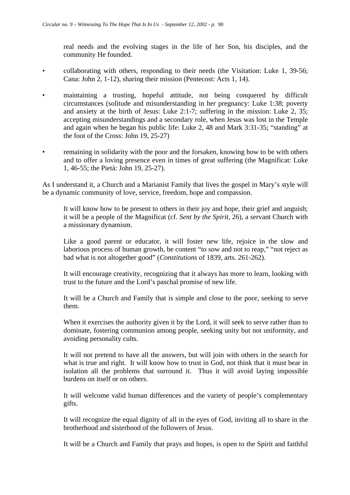real needs and the evolving stages in the life of her Son, his disciples, and the community He founded.

- collaborating with others, responding to their needs (the Visitation: Luke 1, 39-56; Cana: John 2, 1-12), sharing their mission (Pentecost: Acts 1, 14).
- maintaining a trusting, hopeful attitude, not being conquered by difficult circumstances (solitude and misunderstanding in her pregnancy: Luke 1:38; poverty and anxiety at the birth of Jesus: Luke 2:1-7; suffering in the mission: Luke 2, 35; accepting misunderstandings and a secondary role, when Jesus was lost in the Temple and again when he began his public life: Luke 2, 48 and Mark 3:31-35; "standing" at the foot of the Cross: John 19, 25-27)
- remaining in solidarity with the poor and the forsaken, knowing how to be with others and to offer a loving presence even in times of great suffering (the Magnificat: Luke 1, 46-55; the Pietà: John 19, 25-27).

As I understand it, a Church and a Marianist Family that lives the gospel in Mary's style will be a dynamic community of love, service, freedom, hope and compassion.

It will know how to be present to others in their joy and hope, their grief and anguish; it will be a people of the Magnificat (cf. *Sent by the Spirit*, 26), a servant Church with a missionary dynamism.

Like a good parent or educator, it will foster new life, rejoice in the slow and laborious process of human growth, be content "to sow and not to reap," "not reject as bad what is not altogether good" (*Constitutions* of 1839, arts. 261-262).

It will encourage creativity, recognizing that it always has more to learn, looking with trust to the future and the Lord's paschal promise of new life.

It will be a Church and Family that is simple and close to the poor, seeking to serve them.

When it exercises the authority given it by the Lord, it will seek to serve rather than to dominate, fostering communion among people, seeking unity but not uniformity, and avoiding personality cults.

It will not pretend to have all the answers, but will join with others in the search for what is true and right. It will know how to trust in God, not think that it must bear in isolation all the problems that surround it. Thus it will avoid laying impossible burdens on itself or on others.

It will welcome valid human differences and the variety of people's complementary gifts.

It will recognize the equal dignity of all in the eyes of God, inviting all to share in the brotherhood and sisterhood of the followers of Jesus.

It will be a Church and Family that prays and hopes, is open to the Spirit and faithful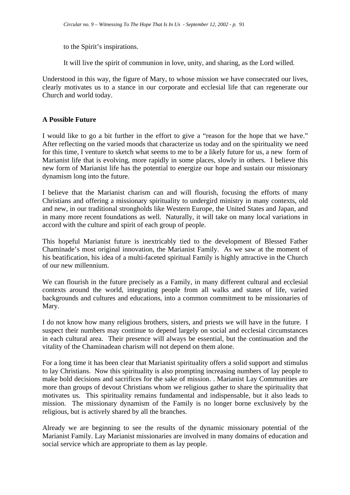to the Spirit's inspirations.

It will live the spirit of communion in love, unity, and sharing, as the Lord willed.

Understood in this way, the figure of Mary, to whose mission we have consecrated our lives, clearly motivates us to a stance in our corporate and ecclesial life that can regenerate our Church and world today.

#### **A Possible Future**

I would like to go a bit further in the effort to give a "reason for the hope that we have." After reflecting on the varied moods that characterize us today and on the spirituality we need for this time, I venture to sketch what seems to me to be a likely future for us, a new form of Marianist life that is evolving, more rapidly in some places, slowly in others. I believe this new form of Marianist life has the potential to energize our hope and sustain our missionary dynamism long into the future.

I believe that the Marianist charism can and will flourish, focusing the efforts of many Christians and offering a missionary spirituality to undergird ministry in many contexts, old and new, in our traditional strongholds like Western Europe, the United States and Japan, and in many more recent foundations as well. Naturally, it will take on many local variations in accord with the culture and spirit of each group of people.

This hopeful Marianist future is inextricably tied to the development of Blessed Father Chaminade's most original innovation, the Marianist Family. As we saw at the moment of his beatification, his idea of a multi-faceted spiritual Family is highly attractive in the Church of our new millennium.

We can flourish in the future precisely as a Family, in many different cultural and ecclesial contexts around the world, integrating people from all walks and states of life, varied backgrounds and cultures and educations, into a common commitment to be missionaries of Mary.

I do not know how many religious brothers, sisters, and priests we will have in the future. I suspect their numbers may continue to depend largely on social and ecclesial circumstances in each cultural area. Their presence will always be essential, but the continuation and the vitality of the Chaminadean charism will not depend on them alone.

For a long time it has been clear that Marianist spirituality offers a solid support and stimulus to lay Christians. Now this spirituality is also prompting increasing numbers of lay people to make bold decisions and sacrifices for the sake of mission. . Marianist Lay Communities are more than groups of devout Christians whom we religious gather to share the spirituality that motivates us. This spirituality remains fundamental and indispensable, but it also leads to mission. The missionary dynamism of the Family is no longer borne exclusively by the religious, but is actively shared by all the branches.

Already we are beginning to see the results of the dynamic missionary potential of the Marianist Family. Lay Marianist missionaries are involved in many domains of education and social service which are appropriate to them as lay people.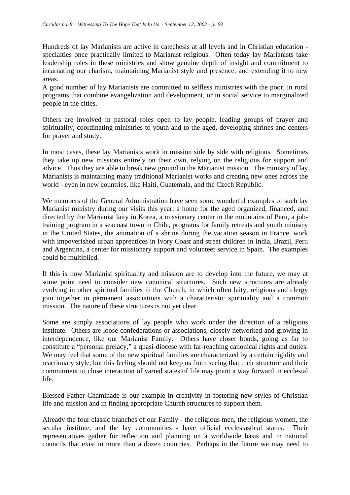Hundreds of lay Marianists are active in catechesis at all levels and in Christian education specialties once practically limited to Marianist religious. Often today lay Marianists take leadership roles in these ministries and show genuine depth of insight and commitment to incarnating our charism, maintaining Marianist style and presence, and extending it to new areas.

A good number of lay Marianists are committed to selfless ministries with the poor, in rural programs that combine evangelization and development, or in social service to marginalized people in the cities.

Others are involved in pastoral roles open to lay people, leading groups of prayer and spirituality, coordinating ministries to youth and to the aged, developing shrines and centers for prayer and study.

In most cases, these lay Marianists work in mission side by side with religious. Sometimes they take up new missions entirely on their own, relying on the religious for support and advice. Thus they are able to break new ground in the Marianist mission. The ministry of lay Marianists is maintaining many traditional Marianist works and creating new ones across the world - even in new countries, like Haiti, Guatemala, and the Czech Republic.

We members of the General Administration have seen some wonderful examples of such lay Marianist ministry during our visits this year: a home for the aged organized, financed, and directed by the Marianist laity in Korea, a missionary center in the mountains of Peru, a jobtraining program in a seacoast town in Chile, programs for family retreats and youth ministry in the United States, the animation of a shrine during the vacation season in France, work with impoverished urban apprentices in Ivory Coast and street children in India, Brazil, Peru and Argentina, a center for missionary support and volunteer service in Spain. The examples could be multiplied.

If this is how Marianist spirituality and mission are to develop into the future, we may at some point need to consider new canonical structures. Such new structures are already evolving in other spiritual families in the Church, in which often laity, religious and clergy join together in permanent associations with a characteristic spirituality and a common mission. The nature of these structures is not yet clear.

Some are simply associations of lay people who work under the direction of a religious institute. Others are loose confederations or associations, closely networked and growing in interdependence, like our Marianist Family. Others have closer bonds, going as far to constitute a "personal prelacy," a quasi-diocese with far-reaching canonical rights and duties. We may feel that some of the new spiritual families are characterized by a certain rigidity and reactionary style, but this feeling should not keep us from seeing that their structure and their commitment to close interaction of varied states of life may point a way forward in ecclesial life.

Blessed Father Chaminade is our example in creativity in fostering new styles of Christian life and mission and in finding appropriate Church structures to support them.

Already the four classic branches of our Family - the religious men, the religious women, the secular institute, and the lay communities - have official ecclesiastical status. Their representatives gather for reflection and planning on a worldwide basis and in national councils that exist in more than a dozen countries. Perhaps in the future we may need to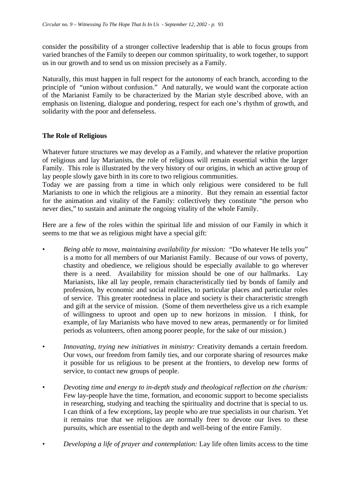consider the possibility of a stronger collective leadership that is able to focus groups from varied branches of the Family to deepen our common spirituality, to work together, to support us in our growth and to send us on mission precisely as a Family.

Naturally, this must happen in full respect for the autonomy of each branch, according to the principle of "union without confusion." And naturally, we would want the corporate action of the Marianist Family to be characterized by the Marian style described above, with an emphasis on listening, dialogue and pondering, respect for each one's rhythm of growth, and solidarity with the poor and defenseless.

#### **The Role of Religious**

Whatever future structures we may develop as a Family, and whatever the relative proportion of religious and lay Marianists, the role of religious will remain essential within the larger Family. This role is illustrated by the very history of our origins, in which an active group of lay people slowly gave birth in its core to two religious communities.

Today we are passing from a time in which only religious were considered to be full Marianists to one in which the religious are a minority. But they remain an essential factor for the animation and vitality of the Family: collectively they constitute "the person who never dies," to sustain and animate the ongoing vitality of the whole Family.

Here are a few of the roles within the spiritual life and mission of our Family in which it seems to me that we as religious might have a special gift:

- *Being able to move, maintaining availability for mission:* "Do whatever He tells you" is a motto for all members of our Marianist Family. Because of our vows of poverty, chastity and obedience, we religious should be especially available to go wherever there is a need. Availability for mission should be one of our hallmarks. Lay Marianists, like all lay people, remain characteristically tied by bonds of family and profession, by economic and social realities, to particular places and particular roles of service. This greater rootedness in place and society is their characteristic strength and gift at the service of mission. (Some of them nevertheless give us a rich example of willingness to uproot and open up to new horizons in mission. I think, for example, of lay Marianists who have moved to new areas, permanently or for limited periods as volunteers, often among poorer people, for the sake of our mission.)
- *Innovating, trying new initiatives in ministry:* Creativity demands a certain freedom. Our vows, our freedom from family ties, and our corporate sharing of resources make it possible for us religious to be present at the frontiers, to develop new forms of service, to contact new groups of people.
- *Devoting time and energy to in-depth study and theological reflection on the charism:* Few lay-people have the time, formation, and economic support to become specialists in researching, studying and teaching the spirituality and doctrine that is special to us. I can think of a few exceptions, lay people who are true specialists in our charism. Yet it remains true that we religious are normally freer to devote our lives to these pursuits, which are essential to the depth and well-being of the entire Family.
- *Developing a life of prayer and contemplation:* Lay life often limits access to the time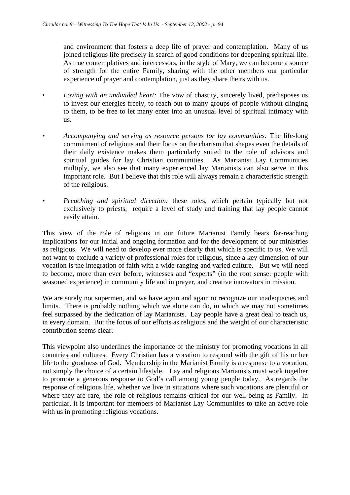and environment that fosters a deep life of prayer and contemplation. Many of us joined religious life precisely in search of good conditions for deepening spiritual life. As true contemplatives and intercessors, in the style of Mary, we can become a source of strength for the entire Family, sharing with the other members our particular experience of prayer and contemplation, just as they share theirs with us.

- *Loving with an undivided heart:* The vow of chastity, sincerely lived, predisposes us to invest our energies freely, to reach out to many groups of people without clinging to them, to be free to let many enter into an unusual level of spiritual intimacy with us.
- *Accompanying and serving as resource persons for lay communities:* The life-long commitment of religious and their focus on the charism that shapes even the details of their daily existence makes them particularly suited to the role of advisors and spiritual guides for lay Christian communities. As Marianist Lay Communities multiply, we also see that many experienced lay Marianists can also serve in this important role. But I believe that this role will always remain a characteristic strength of the religious.
- *Preaching and spiritual direction:* these roles, which pertain typically but not exclusively to priests, require a level of study and training that lay people cannot easily attain.

This view of the role of religious in our future Marianist Family bears far-reaching implications for our initial and ongoing formation and for the development of our ministries as religious. We will need to develop ever more clearly that which is specific to us. We will not want to exclude a variety of professional roles for religious, since a key dimension of our vocation is the integration of faith with a wide-ranging and varied culture. But we will need to become, more than ever before, witnesses and "experts" (in the root sense: people with seasoned experience) in community life and in prayer, and creative innovators in mission.

We are surely not supermen, and we have again and again to recognize our inadequacies and limits. There is probably nothing which we alone can do, in which we may not sometimes feel surpassed by the dedication of lay Marianists. Lay people have a great deal to teach us, in every domain. But the focus of our efforts as religious and the weight of our characteristic contribution seems clear.

This viewpoint also underlines the importance of the ministry for promoting vocations in all countries and cultures. Every Christian has a vocation to respond with the gift of his or her life to the goodness of God. Membership in the Marianist Family is a response to a vocation, not simply the choice of a certain lifestyle. Lay and religious Marianists must work together to promote a generous response to God's call among young people today. As regards the response of religious life, whether we live in situations where such vocations are plentiful or where they are rare, the role of religious remains critical for our well-being as Family. In particular, it is important for members of Marianist Lay Communities to take an active role with us in promoting religious vocations.